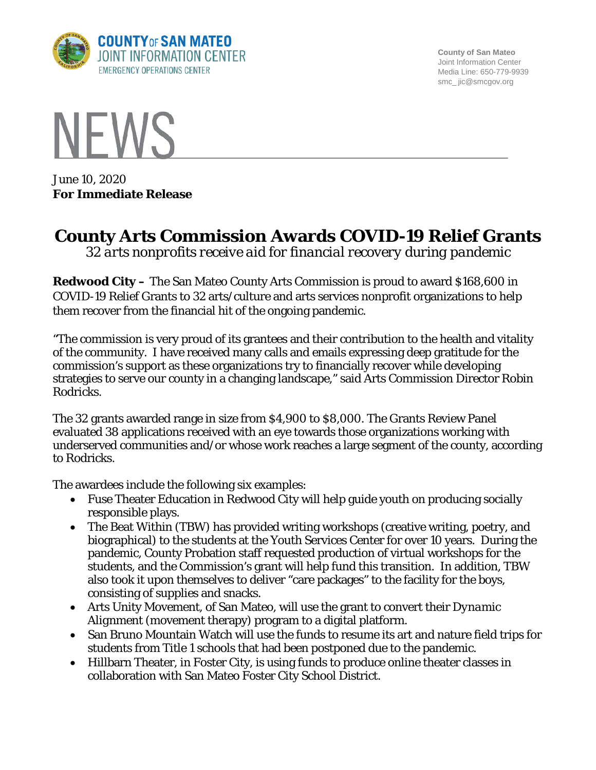

**County of San Mateo** Joint Information Center Media Line: 650-779-9939 smc\_ jic@smcgov.org



June 10, 2020 **For Immediate Release**

## **County Arts Commission Awards COVID-19 Relief Grants**

*32 arts nonprofits receive aid for financial recovery during pandemic*

**Redwood City –** The San Mateo County Arts Commission is proud to award \$168,600 in COVID-19 Relief Grants to 32 arts/culture and arts services nonprofit organizations to help them recover from the financial hit of the ongoing pandemic.

"The commission is very proud of its grantees and their contribution to the health and vitality of the community. I have received many calls and emails expressing deep gratitude for the commission's support as these organizations try to financially recover while developing strategies to serve our county in a changing landscape," said Arts Commission Director Robin Rodricks.

The 32 grants awarded range in size from \$4,900 to \$8,000. The Grants Review Panel evaluated 38 applications received with an eye towards those organizations working with underserved communities and/or whose work reaches a large segment of the county, according to Rodricks.

The awardees include the following six examples:

- Fuse Theater Education in Redwood City will help guide youth on producing socially responsible plays.
- The Beat Within (TBW) has provided writing workshops (creative writing, poetry, and biographical) to the students at the Youth Services Center for over 10 years. During the pandemic, County Probation staff requested production of virtual workshops for the students, and the Commission's grant will help fund this transition. In addition, TBW also took it upon themselves to deliver "care packages" to the facility for the boys, consisting of supplies and snacks.
- Arts Unity Movement, of San Mateo, will use the grant to convert their *Dynamic Alignment* (movement therapy) program to a digital platform.
- San Bruno Mountain Watch will use the funds to resume its art and nature field trips for students from Title 1 schools that had been postponed due to the pandemic.
- Hillbarn Theater, in Foster City, is using funds to produce online theater classes in collaboration with San Mateo Foster City School District.